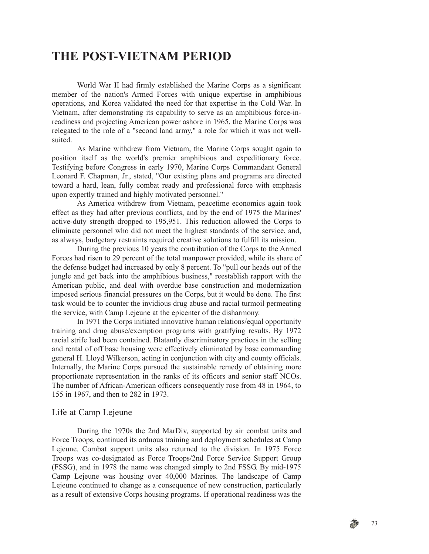# **THE POST-VIETNAM PERIOD**

World War II had firmly established the Marine Corps as a significant member of the nation's Armed Forces with unique expertise in amphibious operations, and Korea validated the need for that expertise in the Cold War. In Vietnam, after demonstrating its capability to serve as an amphibious force-inreadiness and projecting American power ashore in 1965, the Marine Corps was relegated to the role of a "second land army," a role for which it was not wellsuited.

As Marine withdrew from Vietnam, the Marine Corps sought again to position itself as the world's premier amphibious and expeditionary force. Testifying before Congress in early 1970, Marine Corps Commandant General Leonard F. Chapman, Jr., stated, "Our existing plans and programs are directed toward a hard, lean, fully combat ready and professional force with emphasis upon expertly trained and highly motivated personnel."

As America withdrew from Vietnam, peacetime economics again took effect as they had after previous conflicts, and by the end of 1975 the Marines' active-duty strength dropped to 195,951. This reduction allowed the Corps to eliminate personnel who did not meet the highest standards of the service, and, as always, budgetary restraints required creative solutions to fulfill its mission.

During the previous 10 years the contribution of the Corps to the Armed Forces had risen to 29 percent of the total manpower provided, while its share of the defense budget had increased by only 8 percent. To "pull our heads out of the jungle and get back into the amphibious business," reestablish rapport with the American public, and deal with overdue base construction and modernization imposed serious financial pressures on the Corps, but it would be done. The first task would be to counter the invidious drug abuse and racial turmoil permeating the service, with Camp Lejeune at the epicenter of the disharmony.

In 1971 the Corps initiated innovative human relations/equal opportunity training and drug abuse/exemption programs with gratifying results. By 1972 racial strife had been contained. Blatantly discriminatory practices in the selling and rental of off base housing were effectively eliminated by base commanding general H. Lloyd Wilkerson, acting in conjunction with city and county officials. Internally, the Marine Corps pursued the sustainable remedy of obtaining more proportionate representation in the ranks of its officers and senior staff NCOs. The number of African-American officers consequently rose from 48 in 1964, to 155 in 1967, and then to 282 in 1973.

#### Life at Camp Lejeune

During the 1970s the 2nd MarDiv, supported by air combat units and Force Troops, continued its arduous training and deployment schedules at Camp Lejeune. Combat support units also returned to the division. In 1975 Force Troops was co-designated as Force Troops/2nd Force Service Support Group (FSSG), and in 1978 the name was changed simply to 2nd FSSG. By mid-1975 Camp Lejeune was housing over 40,000 Marines. The landscape of Camp Lejeune continued to change as a consequence of new construction, particularly as a result of extensive Corps housing programs. If operational readiness was the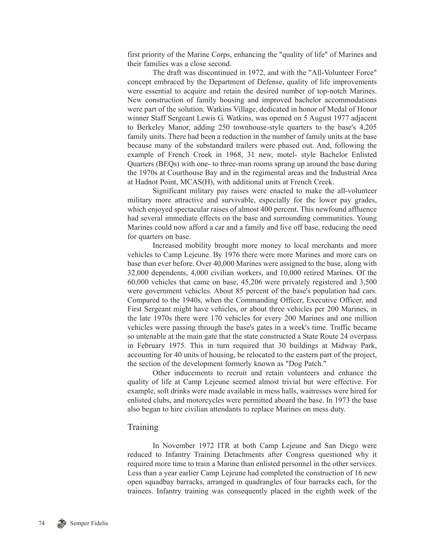first priority of the Marine Corps, enhancing the "quality of life" of Marines and their families was a close second.

The draft was discontinued in 1972, and with the "All-Volunteer Force" concept embraced by the Department of Defense, quality of life improvements were essential to acquire and retain the desired number of top-notch Marines. New construction of family housing and improved bachelor accommodations were part of the solution. Watkins Village, dedicated in honor of Medal of Honor winner Staff Sergeant Lewis G. Watkins, was opened on 5 August 1977 adjacent to Berkeley Manor, adding 250 townhouse-style quarters to the base's 4,205 family units. There had been a reduction in the number of family units at the base because many of the substandard trailers were phased out. And, following the example of French Creek in 1968, 31 new, motel- style Bachelor Enlisted Quarters (BEQs) with one- to three-man rooms sprang up around the base during the 1970s at Courthouse Bay and in the regimental areas and the Industrial Area at Hadnot Point, MCAS(H), with additional units at French Creek.

Significant military pay raises were enacted to make the all-volunteer military more attractive and survivable, especially for the lower pay grades, which enjoyed spectacular raises of almost 400 percent. This newfound affluence had several immediate effects on the base and surrounding communities. Young Marines could now afford a car and a family and live off base, reducing the need for quarters on base.

Increased mobility brought more money to local merchants and more vehicles to Camp Lejeune. By 1976 there were more Marines and more cars on base than ever before. Over 40,000 Marines were assigned to the base, along with 32,000 dependents, 4,000 civilian workers, and 10,000 retired Marines. Of the 60,000 vehicles that came on base, 45,206 were privately registered and 3,500 were government vehicles. About 85 percent of the base's population had cars. Compared to the 1940s, when the Commanding Officer, Executive Officer, and First Sergeant might have vehicles, or about three vehicles per 200 Marines, in the late 1970s there were 170 vehicles for every 200 Marines and one million vehicles were passing through the base's gates in a week's time. Traffic became so untenable at the main gate that the state constructed a State Route 24 overpass in February 1975. This in turn required that 30 buildings at Midway Park, accounting for 40 units of housing, be relocated to the eastern part of the project, the section of the development formerly known as "Dog Patch."

Other inducements to recruit and retain volunteers and enhance the quality of life at Camp Lejeune seemed almost trivial but were effective. For example, soft drinks were made available in mess halls, waitresses were hired for enlisted clubs, and motorcycles were permitted aboard the base. In 1973 the base also began to hire civilian attendants to replace Marines on mess duty.

### **Training**

In November 1972 ITR at both Camp Lejeune and San Diego were reduced to Infantry Training Detachments after Congress questioned why it required more time to train a Marine than enlisted personnel in the other services. Less than a year earlier Camp Lejeune had completed the construction of 16 new open squadbay barracks, arranged in quadrangles of four barracks each, for the trainees. Infantry training was consequently placed in the eighth week of the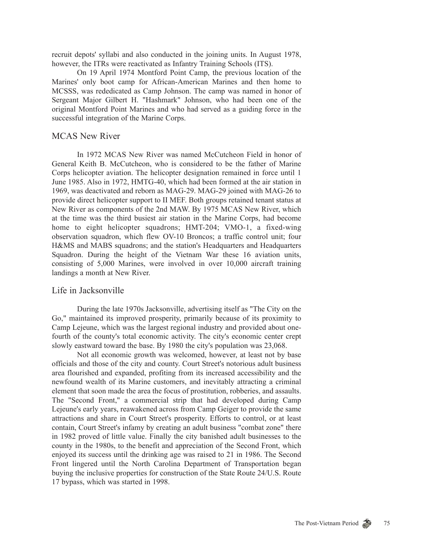recruit depots' syllabi and also conducted in the joining units. In August 1978, however, the ITRs were reactivated as Infantry Training Schools (ITS).

On 19 April 1974 Montford Point Camp, the previous location of the Marines' only boot camp for African-American Marines and then home to MCSSS, was rededicated as Camp Johnson. The camp was named in honor of Sergeant Major Gilbert H. "Hashmark" Johnson, who had been one of the original Montford Point Marines and who had served as a guiding force in the successful integration of the Marine Corps.

## MCAS New River

In 1972 MCAS New River was named McCutcheon Field in honor of General Keith B. McCutcheon, who is considered to be the father of Marine Corps helicopter aviation. The helicopter designation remained in force until 1 June 1985. Also in 1972, HMTG-40, which had been formed at the air station in 1969, was deactivated and reborn as MAG-29. MAG-29 joined with MAG-26 to provide direct helicopter support to II MEF. Both groups retained tenant status at New River as components of the 2nd MAW. By 1975 MCAS New River, which at the time was the third busiest air station in the Marine Corps, had become home to eight helicopter squadrons; HMT-204; VMO-1, a fixed-wing observation squadron, which flew OV-10 Broncos; a traffic control unit; four H&MS and MABS squadrons; and the station's Headquarters and Headquarters Squadron. During the height of the Vietnam War these 16 aviation units, consisting of 5,000 Marines, were involved in over 10,000 aircraft training landings a month at New River.

#### Life in Jacksonville

During the late 1970s Jacksonville, advertising itself as "The City on the Go," maintained its improved prosperity, primarily because of its proximity to Camp Lejeune, which was the largest regional industry and provided about onefourth of the county's total economic activity. The city's economic center crept slowly eastward toward the base. By 1980 the city's population was 23,068.

Not all economic growth was welcomed, however, at least not by base officials and those of the city and county. Court Street's notorious adult business area flourished and expanded, profiting from its increased accessibility and the newfound wealth of its Marine customers, and inevitably attracting a criminal element that soon made the area the focus of prostitution, robberies, and assaults. The "Second Front," a commercial strip that had developed during Camp Lejeune's early years, reawakened across from Camp Geiger to provide the same attractions and share in Court Street's prosperity. Efforts to control, or at least contain, Court Street's infamy by creating an adult business "combat zone" there in 1982 proved of little value. Finally the city banished adult businesses to the county in the 1980s, to the benefit and appreciation of the Second Front, which enjoyed its success until the drinking age was raised to 21 in 1986. The Second Front lingered until the North Carolina Department of Transportation began buying the inclusive properties for construction of the State Route 24/U.S. Route 17 bypass, which was started in 1998.